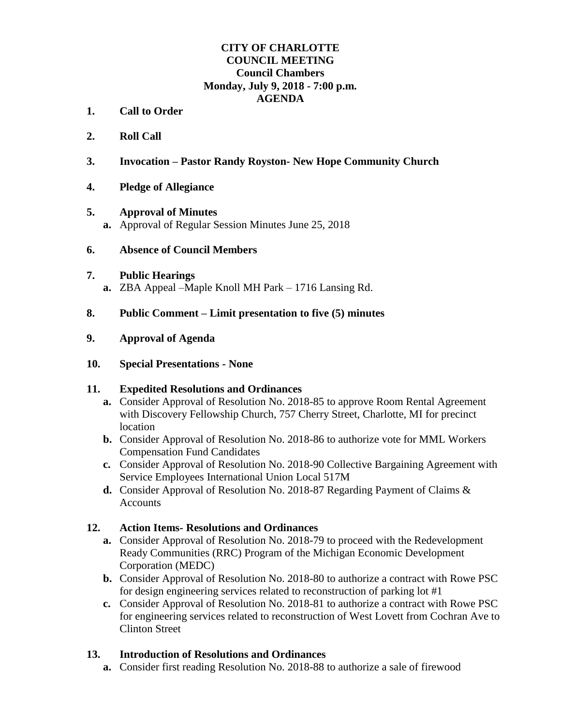# **CITY OF CHARLOTTE COUNCIL MEETING Council Chambers Monday, July 9, 2018 - 7:00 p.m. AGENDA**

- **1. Call to Order**
- **2. Roll Call**
- **3. Invocation – Pastor Randy Royston- New Hope Community Church**
- **4. Pledge of Allegiance**

#### **5. Approval of Minutes**

**a.** Approval of Regular Session Minutes June 25, 2018

## **6. Absence of Council Members**

#### **7. Public Hearings**

**a.** ZBA Appeal –Maple Knoll MH Park – 1716 Lansing Rd.

## **8. Public Comment – Limit presentation to five (5) minutes**

## **9. Approval of Agenda**

#### **10. Special Presentations - None**

#### **11. Expedited Resolutions and Ordinances**

- **a.** Consider Approval of Resolution No. 2018-85 to approve Room Rental Agreement with Discovery Fellowship Church, 757 Cherry Street, Charlotte, MI for precinct location
- **b.** Consider Approval of Resolution No. 2018-86 to authorize vote for MML Workers Compensation Fund Candidates
- **c.** Consider Approval of Resolution No. 2018-90 Collective Bargaining Agreement with Service Employees International Union Local 517M
- **d.** Consider Approval of Resolution No. 2018-87 Regarding Payment of Claims & Accounts

#### **12. Action Items- Resolutions and Ordinances**

- **a.** Consider Approval of Resolution No. 2018-79 to proceed with the Redevelopment Ready Communities (RRC) Program of the Michigan Economic Development Corporation (MEDC)
- **b.** Consider Approval of Resolution No. 2018-80 to authorize a contract with Rowe PSC for design engineering services related to reconstruction of parking lot #1
- **c.** Consider Approval of Resolution No. 2018-81 to authorize a contract with Rowe PSC for engineering services related to reconstruction of West Lovett from Cochran Ave to Clinton Street

# **13. Introduction of Resolutions and Ordinances**

**a.** Consider first reading Resolution No. 2018-88 to authorize a sale of firewood